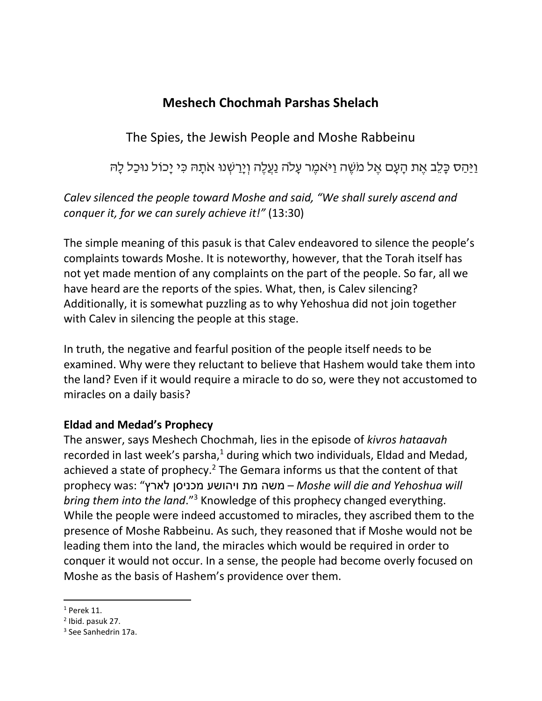# **Meshech Chochmah Parshas Shelach**

The Spies, the Jewish People and Moshe Rabbeinu

וַיַּהַס כָּלֶב אֶת הַעֲם אֶל מֹשֶׁה וַיּאמֶר עַלֹה נַעֲלֶה וְיַרַשְׁנוּ אֹתַּהּ כִּי יַכוֹל נוּכָל לַ*ה*ּ

# *Calev silenced the people toward Moshe and said, "We shall surely ascend and conquer it, for we can surely achieve it!"* (13:30)

The simple meaning of this pasuk is that Calev endeavored to silence the people's complaints towards Moshe. It is noteworthy, however, that the Torah itself has not yet made mention of any complaints on the part of the people. So far, all we have heard are the reports of the spies. What, then, is Calev silencing? Additionally, it is somewhat puzzling as to why Yehoshua did not join together with Calev in silencing the people at this stage.

In truth, the negative and fearful position of the people itself needs to be examined. Why were they reluctant to believe that Hashem would take them into the land? Even if it would require a miracle to do so, were they not accustomed to miracles on a daily basis?

### **Eldad and Medad's Prophecy**

The answer, says Meshech Chochmah, lies in the episode of *kivros hataavah* recorded in last week's parsha, $1$  during which two individuals, Eldad and Medad, achieved a state of prophecy.<sup>2</sup> The Gemara informs us that the content of that prophecy was: "לארץ מכניסן ויהושע מת משה – *Moshe will die and Yehoshua will bring them into the land*."<sup>3</sup> Knowledge of this prophecy changed everything. While the people were indeed accustomed to miracles, they ascribed them to the presence of Moshe Rabbeinu. As such, they reasoned that if Moshe would not be leading them into the land, the miracles which would be required in order to conquer it would not occur. In a sense, the people had become overly focused on Moshe as the basis of Hashem's providence over them.

 $\overline{\phantom{a}}$ 

 $1$  Perek 11.

<sup>2</sup> Ibid. pasuk 27.

<sup>&</sup>lt;sup>3</sup> See Sanhedrin 17a.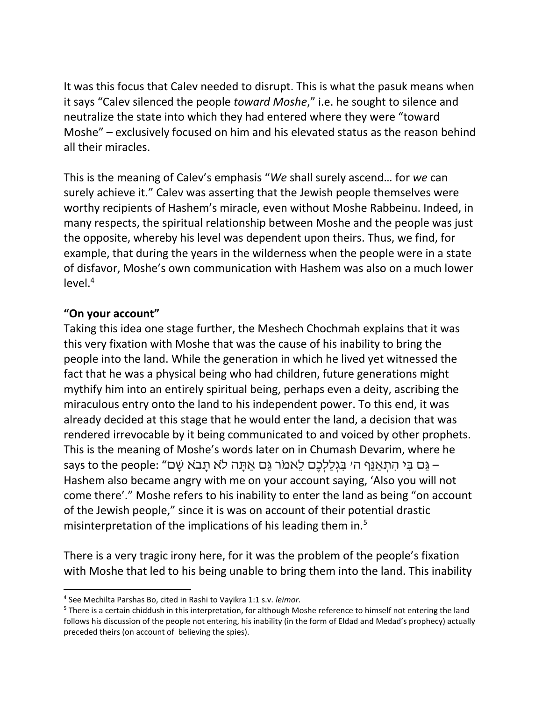It was this focus that Calev needed to disrupt. This is what the pasuk means when it says "Calev silenced the people *toward Moshe*," i.e. he sought to silence and neutralize the state into which they had entered where they were "toward Moshe" – exclusively focused on him and his elevated status as the reason behind all their miracles.

This is the meaning of Calev's emphasis "*We* shall surely ascend… for *we* can surely achieve it." Calev was asserting that the Jewish people themselves were worthy recipients of Hashem's miracle, even without Moshe Rabbeinu. Indeed, in many respects, the spiritual relationship between Moshe and the people was just the opposite, whereby his level was dependent upon theirs. Thus, we find, for example, that during the years in the wilderness when the people were in a state of disfavor, Moshe's own communication with Hashem was also on a much lower  $level.<sup>4</sup>$ 

#### **"On your account"**

 $\overline{a}$ 

Taking this idea one stage further, the Meshech Chochmah explains that it was this very fixation with Moshe that was the cause of his inability to bring the people into the land. While the generation in which he lived yet witnessed the fact that he was a physical being who had children, future generations might mythify him into an entirely spiritual being, perhaps even a deity, ascribing the miraculous entry onto the land to his independent power. To this end, it was already decided at this stage that he would enter the land, a decision that was rendered irrevocable by it being communicated to and voiced by other prophets. This is the meaning of Moshe's words later on in Chumash Devarim, where he – גַּם בִּי הִתְאֲנֵף ה' בְּגְלַלְכֶם לֵאמֹר גַּם אֲתַּה לֹא תַבֹּא שָׁם" :says to the people Hashem also became angry with me on your account saying, 'Also you will not come there'." Moshe refers to his inability to enter the land as being "on account of the Jewish people," since it is was on account of their potential drastic misinterpretation of the implications of his leading them in.<sup>5</sup>

There is a very tragic irony here, for it was the problem of the people's fixation with Moshe that led to his being unable to bring them into the land. This inability

<sup>4</sup> See Mechilta Parshas Bo, cited in Rashi to Vayikra 1:1 s.v. *leimor*.

<sup>5</sup> There is a certain chiddush in this interpretation, for although Moshe reference to himself not entering the land follows his discussion of the people not entering, his inability (in the form of Eldad and Medad's prophecy) actually preceded theirs (on account of believing the spies).